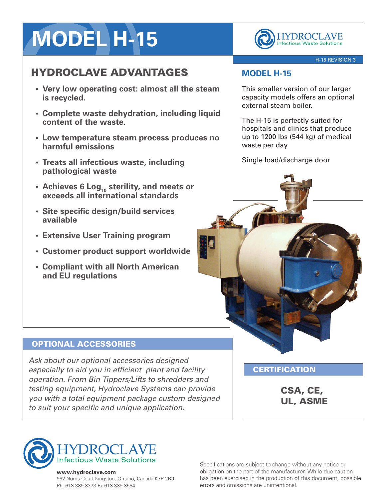# **MODEL H-15**

## HYDROCLAVE ADVANTAGES

- **• Very low operating cost: almost all the steam is recycled.**
- **• Complete waste dehydration, including liquid content of the waste.**
- **• Low temperature steam process produces no harmful emissions**
- **• Treats all infectious waste, including pathological waste**
- **• Achieves 6 Log<sup>10</sup> sterility, and meets or exceeds all international standards**
- **• Site specific design/build services available**
- **• Extensive User Training program**
- **• Customer product support worldwide**
- **• Compliant with all North American and EU regulations**

**HYDROCLAVE Infectious Waste Solutions** 

#### H-15 REVISION 3

## **MODEL H-15**

This smaller version of our larger capacity models offers an optional external steam boiler.

The H-15 is perfectly suited for hospitals and clinics that produce up to 1200 lbs (544 kg) of medical waste per day

Single load/discharge door

#### OPTIONAL ACCESSORIES

*Ask about our optional accessories designed especially to aid you in efficient plant and facility operation. From Bin Tippers/Lifts to shredders and testing equipment, Hydroclave Systems can provide you with a total equipment package custom designed to suit your specific and unique application.*

**CERTIFICATION** 

CSA, CE, UL, ASME



#### **www.hydroclave.com**

662 Norris Court Kingston, Ontario, Canada K7P 2R9 Ph. 613-389-8373 Fx.613-389-8554

Specifications are subject to change without any notice or obligation on the part of the manufacturer. While due caution has been exercised in the production of this document, possible errors and omissions are unintentional.